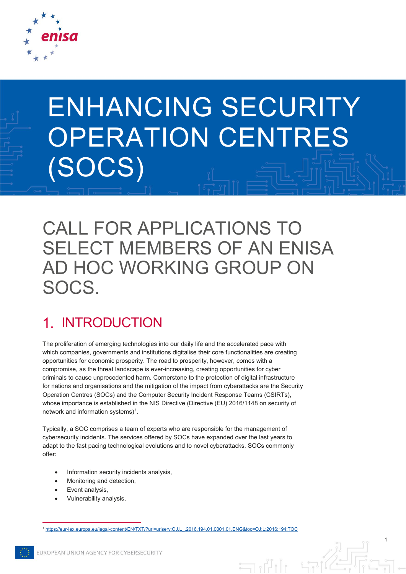

# ENHANCING SECURITY OPERATION CENTRES (SOCS)

CALL FOR APPLICATIONS TO SELECT MEMBERS OF AN ENISA AD HOC WORKING GROUP ON SOCS.

#### INTRODUCTION  $\mathbf 1$

The proliferation of emerging technologies into our daily life and the accelerated pace with which companies, governments and institutions digitalise their core functionalities are creating opportunities for economic prosperity. The road to prosperity, however, comes with a compromise, as the threat landscape is ever-increasing, creating opportunities for cyber criminals to cause unprecedented harm. Cornerstone to the protection of digital infrastructure for nations and organisations and the mitigation of the impact from cyberattacks are the Security Operation Centres (SOCs) and the Computer Security Incident Response Teams (CSIRTs), whose importance is established in the NIS Directive (Directive (EU) 2016/1148 on security of network and information systems $)^1$ .

Typically, a SOC comprises a team of experts who are responsible for the management of cybersecurity incidents. The services offered by SOCs have expanded over the last years to adapt to the fast pacing technological evolutions and to novel cyberattacks. SOCs commonly offer:

- Information security incidents analysis,
- Monitoring and detection,
- Event analysis.
- Vulnerability analysis,

<span id="page-0-0"></span>1 [https://eur-lex.europa.eu/legal-content/EN/TXT/?uri=uriserv:OJ.L\\_.2016.194.01.0001.01.ENG&toc=OJ:L:2016:194:TOC](https://eur-lex.europa.eu/legal-content/EN/TXT/?uri=uriserv:OJ.L_.2016.194.01.0001.01.ENG&toc=OJ:L:2016:194:TOC)

1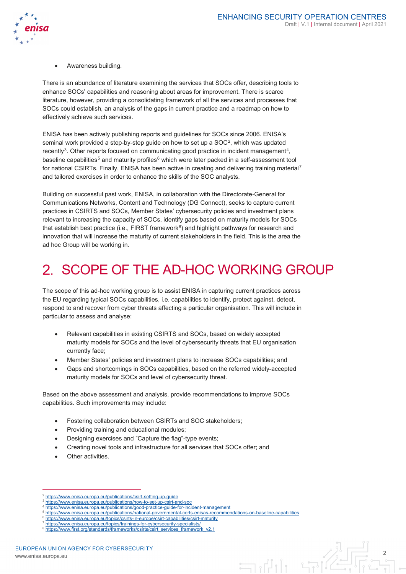

• Awareness building.

There is an abundance of literature examining the services that SOCs offer, describing tools to enhance SOCs' capabilities and reasoning about areas for improvement. There is scarce literature, however, providing a consolidating framework of all the services and processes that SOCs could establish, an analysis of the gaps in current practice and a roadmap on how to effectively achieve such services.

ENISA has been actively publishing reports and guidelines for SOCs since 2006. ENISA's seminal work provided a step-by-step guide on how to set up a SOC<sup>2</sup>, which was updated recently<sup>3</sup>. Other reports focused on communicating good practice in incident management<sup>4</sup>, baseline capabilities<sup>[5](#page-1-3)</sup> and maturity profiles<sup>[6](#page-1-4)</sup> which were later packed in a self-assessment tool for national CSIRTs. Finally, ENISA has been active in creating and delivering training material<sup>[7](#page-1-5)</sup> and tailored exercises in order to enhance the skills of the SOC analysts.

Building on successful past work, ENISA, in collaboration with the Directorate‑General for Communications Networks, Content and Technology (DG Connect), seeks to capture current practices in CSIRTS and SOCs, Member States' cybersecurity policies and investment plans relevant to increasing the capacity of SOCs, identify gaps based on maturity models for SOCs that establish best practice (i.e., FIRST framework $8$ ) and highlight pathways for research and innovation that will increase the maturity of current stakeholders in the field. This is the area the ad hoc Group will be working in.

#### $2_{-}$ SCOPE OF THE AD-HOC WORKING GROUP

The scope of this ad-hoc working group is to assist ENISA in capturing current practices across the EU regarding typical SOCs capabilities, i.e. capabilities to identify, protect against, detect, respond to and recover from cyber threats affecting a particular organisation. This will include in particular to assess and analyse:

- Relevant capabilities in existing CSIRTS and SOCs, based on widely accepted maturity models for SOCs and the level of cybersecurity threats that EU organisation currently face;
- Member States' policies and investment plans to increase SOCs capabilities; and
- Gaps and shortcomings in SOCs capabilities, based on the referred widely-accepted maturity models for SOCs and level of cybersecurity threat.

Based on the above assessment and analysis, provide recommendations to improve SOCs capabilities. Such improvements may include:

- Fostering collaboration between CSIRTs and SOC stakeholders;
- Providing training and educational modules;
- Designing exercises and "Capture the flag"-type events;
- Creating novel tools and infrastructure for all services that SOCs offer; and
- Other activities.

<sup>4</sup> <https://www.enisa.europa.eu/publications/good-practice-guide-for-incident-management>



 <sup>2</sup> <https://www.enisa.europa.eu/publications/csirt-setting-up-guide> <sup>3</sup> <https://www.enisa.europa.eu/publications/how-to-set-up-csirt-and-soc>

<span id="page-1-6"></span><span id="page-1-5"></span><span id="page-1-4"></span><span id="page-1-3"></span><span id="page-1-2"></span><span id="page-1-1"></span><span id="page-1-0"></span><sup>5</sup> <https://www.enisa.europa.eu/publications/national-governmental-certs-enisas-recommendations-on-baseline-capabilities>

<https://www.enisa.europa.eu/topics/csirts-in-europe/csirt-capabilities/csirt-maturity> <https://www.enisa.europa.eu/topics/trainings-for-cybersecurity-specialists/>

[https://www.first.org/standards/frameworks/csirts/csirt\\_services\\_framework\\_v2.1](https://www.first.org/standards/frameworks/csirts/csirt_services_framework_v2.1)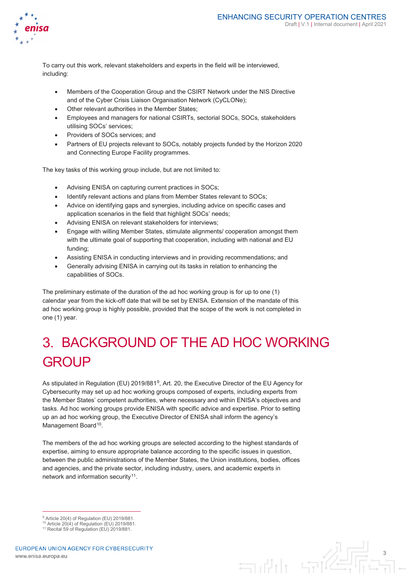

To carry out this work, relevant stakeholders and experts in the field will be interviewed, including:

- Members of the Cooperation Group and the CSIRT Network under the NIS Directive and of the Cyber Crisis Liaison Organisation Network (CyCLONe);
- Other relevant authorities in the Member States;
- Employees and managers for national CSIRTs, sectorial SOCs, SOCs, stakeholders utilising SOCs' services;
- Providers of SOCs services; and
- Partners of EU projects relevant to SOCs, notably projects funded by the Horizon 2020 and Connecting Europe Facility programmes.

The key tasks of this working group include, but are not limited to:

- Advising ENISA on capturing current practices in SOCs;
- Identify relevant actions and plans from Member States relevant to SOCs;
- Advice on identifying gaps and synergies, including advice on specific cases and application scenarios in the field that highlight SOCs' needs;
- Advising ENISA on relevant stakeholders for interviews;
- Engage with willing Member States, stimulate alignments/ cooperation amongst them with the ultimate goal of supporting that cooperation, including with national and EU funding;
- Assisting ENISA in conducting interviews and in providing recommendations; and
- Generally advising ENISA in carrying out its tasks in relation to enhancing the capabilities of SOCs.

The preliminary estimate of the duration of the ad hoc working group is for up to one (1) calendar year from the kick-off date that will be set by ENISA. Extension of the mandate of this ad hoc working group is highly possible, provided that the scope of the work is not completed in one (1) year.

# BACKGROUND OF THE AD HOC WORKING **GROUP**

As stipulated in Regulation (EU) 2019/881<sup>9</sup>, Art. 20, the Executive Director of the EU Agency for Cybersecurity may set up ad hoc working groups composed of experts, including experts from the Member States' competent authorities, where necessary and within ENISA's objectives and tasks. Ad hoc working groups provide ENISA with specific advice and expertise. Prior to setting up an ad hoc working group, the Executive Director of ENISA shall inform the agency's Management Board<sup>10</sup>.

The members of the ad hoc working groups are selected according to the highest standards of expertise, aiming to ensure appropriate balance according to the specific issues in question, between the public administrations of the Member States, the Union institutions, bodies, offices and agencies, and the private sector, including industry, users, and academic experts in network and information security<sup>[11](#page-2-2)</sup>.



<sup>&</sup>lt;sup>9</sup> Article 20(4) of Regulation (EU) 2019/881

<span id="page-2-1"></span><span id="page-2-0"></span> $10$  Article 20(4) of Regulation (EU) 2019/881.

<span id="page-2-2"></span><sup>&</sup>lt;sup>11</sup> Recital 59 of Regulation (EU)  $2019/881$ .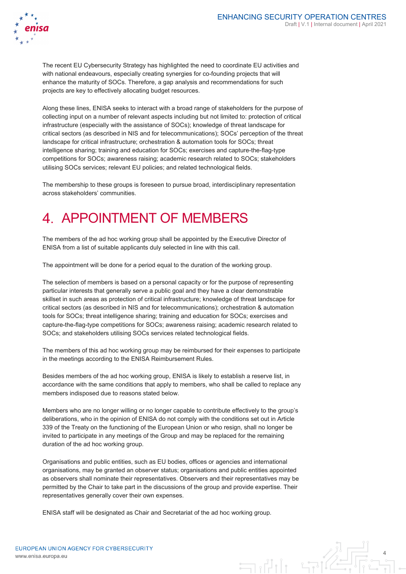

4



The recent EU Cybersecurity Strategy has highlighted the need to coordinate EU activities and with national endeavours, especially creating synergies for co-founding projects that will enhance the maturity of SOCs. Therefore, a gap analysis and recommendations for such projects are key to effectively allocating budget resources.

Along these lines, ENISA seeks to interact with a broad range of stakeholders for the purpose of collecting input on a number of relevant aspects including but not limited to: protection of critical infrastructure (especially with the assistance of SOCs); knowledge of threat landscape for critical sectors (as described in NIS and for telecommunications); SOCs' perception of the threat landscape for critical infrastructure; orchestration & automation tools for SOCs; threat intelligence sharing; training and education for SOCs; exercises and capture-the-flag-type competitions for SOCs; awareness raising; academic research related to SOCs; stakeholders utilising SOCs services; relevant EU policies; and related technological fields.

The membership to these groups is foreseen to pursue broad, interdisciplinary representation across stakeholders' communities.

### 4 APPOINTMENT OF MEMBERS

The members of the ad hoc working group shall be appointed by the Executive Director of ENISA from a list of suitable applicants duly selected in line with this call.

The appointment will be done for a period equal to the duration of the working group.

The selection of members is based on a personal capacity or for the purpose of representing particular interests that generally serve a public goal and they have a clear demonstrable skillset in such areas as protection of critical infrastructure; knowledge of threat landscape for critical sectors (as described in NIS and for telecommunications); orchestration & automation tools for SOCs; threat intelligence sharing; training and education for SOCs; exercises and capture-the-flag-type competitions for SOCs; awareness raising; academic research related to SOCs; and stakeholders utilising SOCs services related technological fields.

The members of this ad hoc working group may be reimbursed for their expenses to participate in the meetings according to the ENISA Reimbursement Rules.

Besides members of the ad hoc working group, ENISA is likely to establish a reserve list, in accordance with the same conditions that apply to members, who shall be called to replace any members indisposed due to reasons stated below.

Members who are no longer willing or no longer capable to contribute effectively to the group's deliberations, who in the opinion of ENISA do not comply with the conditions set out in Article 339 of the Treaty on the functioning of the European Union or who resign, shall no longer be invited to participate in any meetings of the Group and may be replaced for the remaining duration of the ad hoc working group.

Organisations and public entities, such as EU bodies, offices or agencies and international organisations, may be granted an observer status; organisations and public entities appointed as observers shall nominate their representatives. Observers and their representatives may be permitted by the Chair to take part in the discussions of the group and provide expertise. Their representatives generally cover their own expenses.

ENISA staff will be designated as Chair and Secretariat of the ad hoc working group.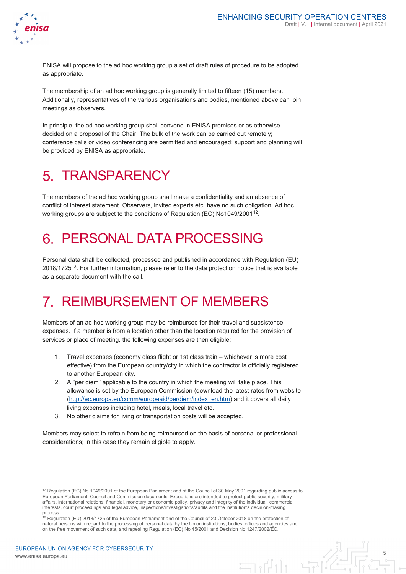

5

ENISA will propose to the ad hoc working group a set of draft rules of procedure to be adopted as appropriate.

The membership of an ad hoc working group is generally limited to fifteen (15) members. Additionally, representatives of the various organisations and bodies, mentioned above can join meetings as observers.

In principle, the ad hoc working group shall convene in ENISA premises or as otherwise decided on a proposal of the Chair. The bulk of the work can be carried out remotely; conference calls or video conferencing are permitted and encouraged; support and planning will be provided by ENISA as appropriate.

# 5 TRANSPARENCY

The members of the ad hoc working group shall make a confidentiality and an absence of conflict of interest statement. Observers, invited experts etc. have no such obligation. Ad hoc working groups are subject to the conditions of Regulation (EC) No1049/2001<sup>[12](#page-4-0)</sup>.

#### PERSONAL DATA PROCESSING  $6.$

Personal data shall be collected, processed and published in accordance with Regulation (EU) 2018/1725[13](#page-4-1). For further information, please refer to the data protection notice that is available as a separate document with the call.

#### REIMBURSEMENT OF MEMBERS  $7_{-}$

Members of an ad hoc working group may be reimbursed for their travel and subsistence expenses. If a member is from a location other than the location required for the provision of services or place of meeting, the following expenses are then eligible:

- 1. Travel expenses (economy class flight or 1st class train whichever is more cost effective) from the European country/city in which the contractor is officially registered to another European city.
- 2. A "per diem" applicable to the country in which the meeting will take place. This allowance is set by the European Commission (download the latest rates from website [\(http://ec.europa.eu/comm/europeaid/perdiem/index\\_en.htm\)](http://ec.europa.eu/comm/europeaid/perdiem/index_en.htm) and it covers all daily living expenses including hotel, meals, local travel etc.
- 3. No other claims for living or transportation costs will be accepted.

Members may select to refrain from being reimbursed on the basis of personal or professional considerations; in this case they remain eligible to apply.

<span id="page-4-0"></span> <sup>12</sup> Regulation (EC) No 1049/2001 of the European Parliament and of the Council of 30 May 2001 regarding public access to European Parliament, Council and Commission documents. Exceptions are intended to protect public security, military affairs, international relations, financial, monetary or economic policy, privacy and integrity of the individual, commercial<br>interests, court proceedings and legal advice, inspections/investigations/audits and the institu

<span id="page-4-1"></span>process.<br><sup>13</sup> Regulation (EU) 2018/1725 of the European Parliament and of the Council of 23 October 2018 on the protection of natural persons with regard to the processing of personal data by the Union institutions, bodies, offices and agencies and on the free movement of such data, and repealing Regulation (EC) No 45/2001 and Decision No 1247/2002/EC.